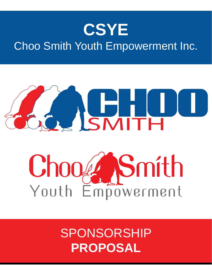# **CSYE**

## Choo Smith Youth Empowerment Inc.

# ASMITH DU

# Chooze Smith

# SPONSORSHIP **PROPOSAL**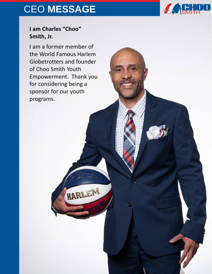## CEO **MESSAGE**



## **I am Charles "Choo" Smith, Jr.**

I am a former member of the World Famous Harlem Globetrotters and founder of Choo Smith Youth Empowerment. Thank you for considering being a sponsor for our youth programs.

HARLEN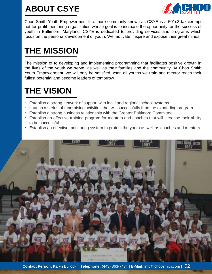## **ABOUT CSYE**



Choo Smith Youth Empowerment Inc. more commonly known as CSYE is a 501c3 tax-exempt not-for-profit mentoring organization whose goal is to increase the opportunity for the success of youth in Baltimore, Maryland. CSYE is dedicated to providing services and programs which focus on the personal development of youth. We motivate, inspire and expose their great minds.

## **THE MISSION**

The mission of to developing and implementing programming that facilitates positive growth in the lives of the youth we serve, as well as their families and the community. At Choo Smith Youth Empowerment, we will only be satisfied when all youths we train and mentor reach their fullest potential and become leaders of tomorrow.

## **THE VISION**

- Establish a strong network of support with local and regional school systems.
- Launch a series of fundraising activities that will successfully fund the expanding program.
- Establish a strong business relationship with the Greater Baltimore Committee.
- Establish an effective training program for mentors and coaches that will increase their ability to be successful.
- Establish an effective monitoring system to protect the youth as well as coaches and mentors.

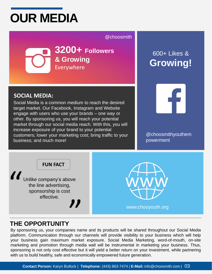# **OUR MEDIA**

## @choosmith

**3200+ Followers & Growing** Everywhere

## 600+ Likes & **Growing!**

## **SOCIAL MEDIA:**

Social Media is a common medium to reach the desired target market. Our Facebook, Instagram and Website engage with users who use your brands – one way or other. By sponsoring us, you will reach your potential market through our social media reach. With this, you will increase exposure of your brand to your potential customers; lower your marketing cost; bring traffic to your business; and much more!



@choosmithyouthem powerment



www.chooyouth.org

## **THE OPPORTUNITY**

By sponsoring us, your companies name and its products will be shared throughout our Social Media platform. Communication through our channels will provide visibility to your business which will help your business gain maximum market exposure. Social Media Marketing, word-of-mouth, on-site marketing and promotion through media wall will be instrumental in marketing your business. Thus, sponsoring is not only cost effective but it will yield a better return on your investment, while partnering with us to build healthy, safe and economically empowered future generation.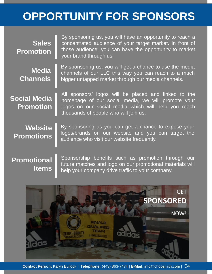# **OPPORTUNITY FOR SPONSORS**

| <b>Sales</b><br><b>Promotion</b>        | By sponsoring us, you will have an opportunity to reach a<br>concentrated audience of your target market. In front of<br>those audience, you can have the opportunity to market<br>your brand through us.  |
|-----------------------------------------|------------------------------------------------------------------------------------------------------------------------------------------------------------------------------------------------------------|
| <b>Media</b><br><b>Channels</b>         | By sponsoring us, you will get a chance to use the media<br>channels of our LLC this way you can reach to a much<br>bigger untapped market through our media channels.                                     |
| <b>Social Media</b><br><b>Promotion</b> | All sponsors' logos will be placed and linked to the<br>homepage of our social media, we will promote your<br>logos on our social media which will help you reach<br>thousands of people who will join us. |
| <b>Website</b><br><b>Promotions</b>     | By sponsoring us you can get a chance to expose your<br>logos/brands on our website and you can target the<br>audience who visit our website frequently.                                                   |
| <b>Promotions</b>                       | Sponsorship benefits such as promotion through our                                                                                                                                                         |

**Promotional Items**

Sponsorship benefits such as promotion through our future matches and logo on our promotional materials will help your company drive traffic to your company.

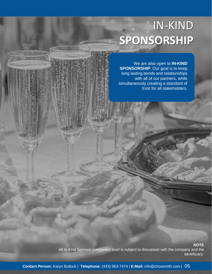# IN-KIND **SPONSORSHIP**

We are also open to **IN-KIND SPONSORSHIP**. Our goal is to keep long lasting bonds and relationships with all of our partners, while simultaneously creating a standard of trust for all stakeholders.

**NOTE**

All In-Kind Sponsor companies level is subject to discussion with the company and the beneficiary.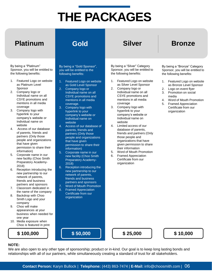# **THE PACKAGES**

## **Platinum Gold Silver Bronze**

By being a "Gold Sponsor", you will be entitled to the following benefits:

2. Company logo or

coverage. 3. Company logo with hyperlink to your company's website or Individual name on

website

Featured Logo on website as Gold Level Sponsor

Individual name on all CSYE promotions and mentions in all media

4. Access of our database of parents, friends and partners (Only those people and organizations

permission to share their

6. Reception introducing the new partnership to our network of parents, friends and business partners and sponsors 7. Word of Mouth Promotion 8. Framed Appreciation Certificate from our organization

that have given

information) 5. Corporate name in our new facility (Choo Smith Preparatory Academy-

2018)

#### By being a "Silver" Category Sponsor, you will be entitled to the following benefits:

- 1. Featured Logo on website as Silver Level Sponsor
- 2. Company logo or Individual name on all CSYE promotions and mentions in all media coverage
- 3. Company logo with hyperlink to your company's website or Individual name on website
- 4. Limited access of our database of parents, friends and partners (Only those people and organizations that have given permission to share their information
- 5. Word of Mouth Promotion
- 6. Framed Appreciation Certificate from our organization

#### By being a "Bronze" Category Sponsor, you will be entitled to the following benefits:

- 1. Featured Logo on website as Bronze Level Sponsor
- 2. Logo on event flyer
- 3. Promotion on social media
- 4. Word of Mouth Promotion
- 5. Framed Appreciation Certificate from our organization
- By being a "Platinum" Sponsor, you will be entitled to the following benefits:
- 1. Featured Logo on website as Platinum Level Sponsor
- 2. Company logo or Individual name on all CSYE promotions and mentions in all media coverage
- 3. Company logo with hyperlink to your company's website or Individual name on website
- 4. Access of our database of parents, friends and partners (Only those people and organizations that have given permission to share their information)
- 5. Corporate name in our new facility (Choo Smith Preparatory Academy-2018)
- 6. Reception introducing the new partnership to our network of parents, friends and business partners and sponsors
- 7. Classroom dedicated in the name of the company
- 8. Backdrop with Choo Smith Logo and your company
- 9. Choo will make appearances at your business when needed for one year
- 10. Media exposure when Choo is featured in print



**\$ 100,000 \$ 50,000 \$ 25,000 \$ 10,000**

#### **NOTE:**

We are also open to any other type of sponsorship; product or in-kind. Our goal is to keep long lasting bonds and relationships with all of our partners, while simultaneously creating a standard of trust for all stakeholders.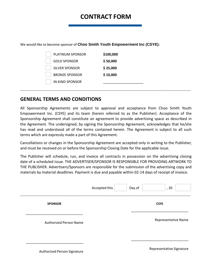## **CONTRACT FORM**

| We would like to become sponsor of Choo Smith Youth Empowerment Inc (CSYE): |  |  |  |
|-----------------------------------------------------------------------------|--|--|--|
|-----------------------------------------------------------------------------|--|--|--|

| <b>PLATINUM SPONSOR</b> | \$100,000 |
|-------------------------|-----------|
| <b>GOLD SPONSOR</b>     | \$50,000  |
| <b>SILVER SPONSOR</b>   | \$25,000  |
| <b>BRONZE SPONSOR</b>   | \$10,000  |
| <b>IN-KIND SPONSOR</b>  |           |
|                         |           |

### **GENERAL TERMS AND CONDITIONS**

All Sponsorship Agreements are subject to approval and acceptance from Choo Smith Youth Empowerment Inc. (CSYE) and its team (herein referred to as the Publisher). Acceptance of the Sponsorship Agreement shall constitute an agreement to provide advertising space as described in the Agreement. The undersigned, by signing the Sponsorship Agreement, acknowledges that he/she has read and understood all of the terms contained herein. The Agreement is subject to all such terms which are expressly made a part of this Agreement.

--------------------------------------------------------------------------------------------------------------------------------------------------

Cancellations or changes in the Sponsorship Agreement are accepted only in writing to the Publisher, and must be received on or before the Sponsorship Closing Date for the applicable issue.

The Publisher will schedule, run, and invoice all contracts in possession on the advertising closing date of a scheduled issue. THE ADVERTISER/SPONSOR IS RESPONSIBLE FOR PROVIDING ARTWORK TO THE PUBLISHER. Advertisers/Sponsors are responsible for the submission of the advertising copy and materials by material deadlines. Payment is due and payable within 02-14 days of receipt of invoice.

|                               | Accepted this | Day of | , 20                       |  |
|-------------------------------|---------------|--------|----------------------------|--|
| <b>SPONSOR</b>                |               |        | <b>CSYE</b>                |  |
| <b>Authorized Person Name</b> |               |        | <b>Representative Name</b> |  |
| Authorized Person Signature   |               |        | Representative Signature   |  |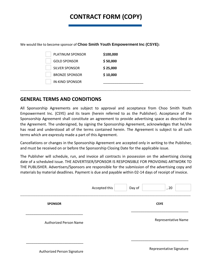## **CONTRACT FORM (COPY)**

#### We would like to become sponsor of **Choo Smith Youth Empowerment Inc (CSYE):**

| <b>PLATINUM SPONSOR</b> | \$100,000 |
|-------------------------|-----------|
| <b>GOLD SPONSOR</b>     | \$50,000  |
| <b>SILVER SPONSOR</b>   | \$25,000  |
| <b>BRONZE SPONSOR</b>   | \$10,000  |
| <b>IN-KIND SPONSOR</b>  |           |
|                         |           |

### **GENERAL TERMS AND CONDITIONS**

All Sponsorship Agreements are subject to approval and acceptance from Choo Smith Youth Empowerment Inc. (CSYE) and its team (herein referred to as the Publisher). Acceptance of the Sponsorship Agreement shall constitute an agreement to provide advertising space as described in the Agreement. The undersigned, by signing the Sponsorship Agreement, acknowledges that he/she has read and understood all of the terms contained herein. The Agreement is subject to all such terms which are expressly made a part of this Agreement.

--------------------------------------------------------------------------------------------------------------------------------------------------

Cancellations or changes in the Sponsorship Agreement are accepted only in writing to the Publisher, and must be received on or before the Sponsorship Closing Date for the applicable issue.

The Publisher will schedule, run, and invoice all contracts in possession on the advertising closing date of a scheduled issue. THE ADVERTISER/SPONSOR IS RESPONSIBLE FOR PROVIDING ARTWORK TO THE PUBLISHER. Advertisers/Sponsors are responsible for the submission of the advertising copy and materials by material deadlines. Payment is due and payable within 02-14 days of receipt of invoice.

|                               | Accepted this | Day of | , 20                       |  |
|-------------------------------|---------------|--------|----------------------------|--|
| <b>SPONSOR</b>                |               |        | <b>CSYE</b>                |  |
| <b>Authorized Person Name</b> |               |        | <b>Representative Name</b> |  |
| Authorized Person Signature   |               |        | Representative Signature   |  |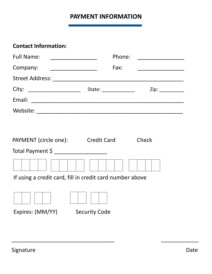## **PAYMENT INFORMATION**

## **Contact Information:**

| <b>Full Name:</b><br><u> 1980 - Johann Stoff, fransk politik (d. 1980)</u> | Phone:                                                                                                                                                                                                                                                                                                                                                                                                                     |                             |
|----------------------------------------------------------------------------|----------------------------------------------------------------------------------------------------------------------------------------------------------------------------------------------------------------------------------------------------------------------------------------------------------------------------------------------------------------------------------------------------------------------------|-----------------------------|
| Company:                                                                   | Fax:                                                                                                                                                                                                                                                                                                                                                                                                                       |                             |
|                                                                            |                                                                                                                                                                                                                                                                                                                                                                                                                            |                             |
| City:                                                                      | State: $\frac{1}{\sqrt{1-\frac{1}{\sqrt{1-\frac{1}{\sqrt{1-\frac{1}{\sqrt{1-\frac{1}{\sqrt{1-\frac{1}{\sqrt{1-\frac{1}{\sqrt{1-\frac{1}{\sqrt{1-\frac{1}{\sqrt{1-\frac{1}{\sqrt{1-\frac{1}{\sqrt{1-\frac{1}{\sqrt{1-\frac{1}{\sqrt{1-\frac{1}{\sqrt{1-\frac{1}{\sqrt{1-\frac{1}{\sqrt{1-\frac{1}{\sqrt{1-\frac{1}{\sqrt{1-\frac{1}{\sqrt{1-\frac{1}{\sqrt{1-\frac{1}{\sqrt{1-\frac{1}{\sqrt{1-\frac{1}{\sqrt{1-\frac{1}{\$ | Zip: $\qquad \qquad \qquad$ |
| Email:                                                                     |                                                                                                                                                                                                                                                                                                                                                                                                                            |                             |
| Website:                                                                   |                                                                                                                                                                                                                                                                                                                                                                                                                            |                             |

| PAYMENT (circle one):                                    | <b>Credit Card</b>   | Check |  |
|----------------------------------------------------------|----------------------|-------|--|
| Total Payment \$                                         |                      |       |  |
|                                                          |                      |       |  |
| If using a credit card, fill in credit card number above |                      |       |  |
|                                                          |                      |       |  |
| Expires: (MM/YY)                                         | <b>Security Code</b> |       |  |

 $\overline{\phantom{a}}$  , and the contract of the contract of the contract of the contract of the contract of the contract of the contract of the contract of the contract of the contract of the contract of the contract of the contrac